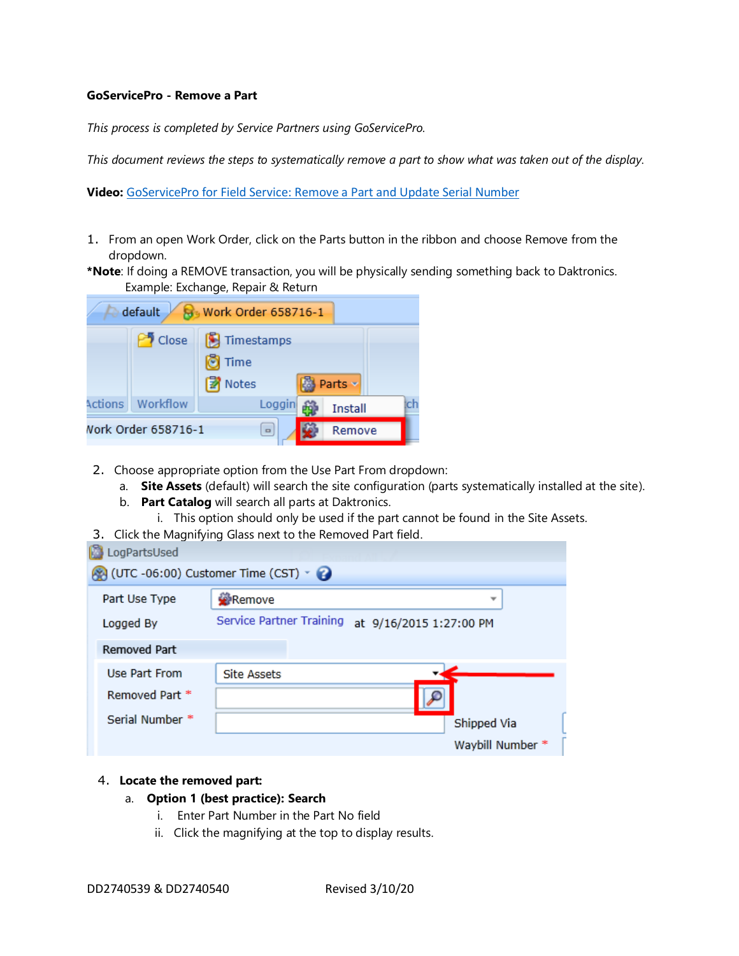## **GoServicePro - Remove a Part**

*This process is completed by Service Partners using GoServicePro.*

*This document reviews the steps to systematically remove a part to show what was taken out of the display.*

**Video:** [GoServicePro for Field Service: Remove a Part and Update Serial Number](https://gm1.geolearning.com/geonext/daktronics/coursesummary.coursecatalog.geo?id=22507558051)

- 1. From an open Work Order, click on the Parts button in the ribbon and choose Remove from the dropdown.
- **\*Note**: If doing a REMOVE transaction, you will be physically sending something back to Daktronics. Example: Exchange, Repair & Return

| default<br>$\overline{8}$ Work Order 658716-1 |          |                               |        |                  |     |
|-----------------------------------------------|----------|-------------------------------|--------|------------------|-----|
|                                               | Close    | Timestamps<br>Time<br>图 Notes |        | <b>B</b> Parts v |     |
| Actions                                       | Workflow | Loggin                        |        | <b>Install</b>   | ich |
| Vork Order 658716-1                           | $\Box$   |                               | Remove |                  |     |

- 2. Choose appropriate option from the Use Part From dropdown:
	- a. **Site Assets** (default) will search the site configuration (parts systematically installed at the site).
	- b. **Part Catalog** will search all parts at Daktronics.
		- i. This option should only be used if the part cannot be found in the Site Assets.
- 3. Click the Magnifying Glass next to the Removed Part field. **Collection**

| ka Loural tsused                                             |                                                     |                  |
|--------------------------------------------------------------|-----------------------------------------------------|------------------|
| $\bullet$ (UTC -06:00) Customer Time (CST) $\cdot$ $\bullet$ |                                                     |                  |
| Part Use Type                                                | Remove                                              |                  |
| Logged By                                                    | Service Partner Training<br>at 9/16/2015 1:27:00 PM |                  |
| <b>Removed Part</b>                                          |                                                     |                  |
| Use Part From                                                | <b>Site Assets</b>                                  |                  |
| Removed Part *                                               |                                                     |                  |
| Serial Number *                                              |                                                     | Shipped Via      |
|                                                              |                                                     | Waybill Number * |

## 4. **Locate the removed part:**

- a. **Option 1 (best practice): Search**
	- i. Enter Part Number in the Part No field
	- ii. Click the magnifying at the top to display results.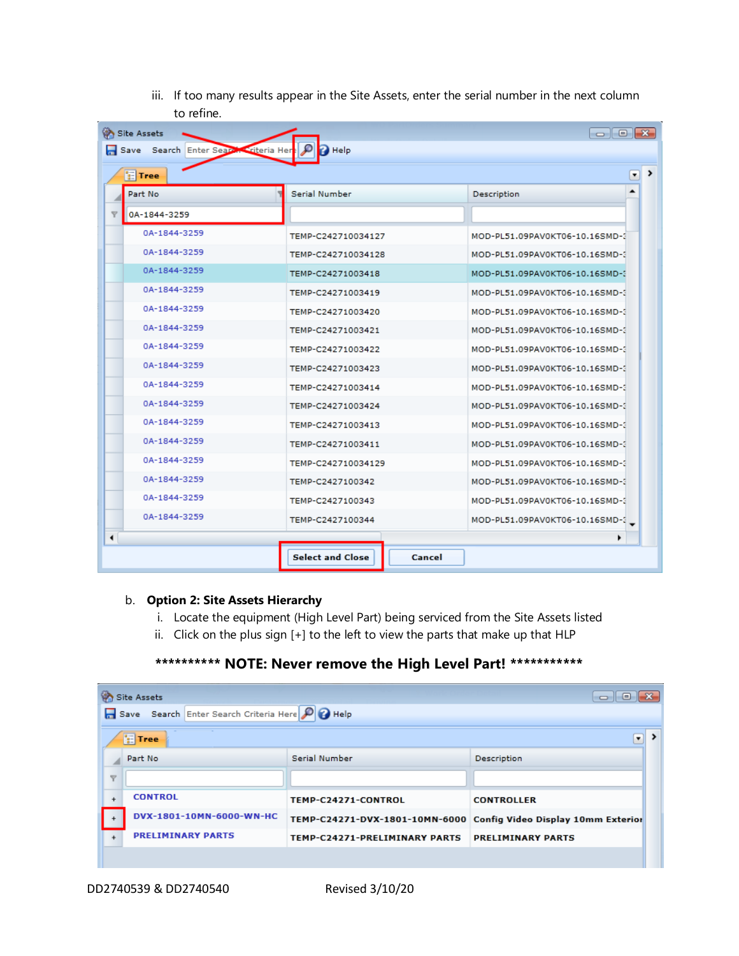iii. If too many results appear in the Site Assets, enter the serial number in the next column to refine.

| $\begin{array}{c c c c c c} \hline \multicolumn{3}{c }{\mathbf{C}} & \multicolumn{3}{c }{\mathbf{X}} \end{array}$<br><b>Site Assets</b> |                                                     |                                |  |  |
|-----------------------------------------------------------------------------------------------------------------------------------------|-----------------------------------------------------|--------------------------------|--|--|
| Save Search Enter Search Criteria Here<br><sup>2</sup> Help                                                                             |                                                     |                                |  |  |
| ><br>$\pmb{\cdot}$<br><b>F</b> Tree                                                                                                     |                                                     |                                |  |  |
| Part No.                                                                                                                                | Serial Number                                       | Description                    |  |  |
| $\overline{\mathbf{Y}}$<br>0A-1844-3259                                                                                                 |                                                     |                                |  |  |
| 0A-1844-3259                                                                                                                            | TEMP-C242710034127                                  | MOD-PL51.09PAV0KT06-10.16SMD-3 |  |  |
| 0A-1844-3259                                                                                                                            | TEMP-C242710034128                                  | MOD-PL51.09PAV0KT06-10.16SMD-3 |  |  |
| 0A-1844-3259                                                                                                                            | TEMP-C24271003418                                   | MOD-PL51.09PAV0KT06-10.16SMD-3 |  |  |
| 0A-1844-3259                                                                                                                            | TEMP-C24271003419                                   | MOD-PL51.09PAV0KT06-10.16SMD-3 |  |  |
| 0A-1844-3259                                                                                                                            | TEMP-C24271003420                                   | MOD-PL51.09PAV0KT06-10.16SMD-3 |  |  |
| 0A-1844-3259                                                                                                                            | TEMP-C24271003421<br>MOD-PL51.09PAV0KT06-10.16SMD-3 |                                |  |  |
| 0A-1844-3259                                                                                                                            | TEMP-C24271003422                                   | MOD-PL51.09PAV0KT06-10.16SMD-3 |  |  |
| 0A-1844-3259                                                                                                                            | TEMP-C24271003423                                   | MOD-PL51.09PAV0KT06-10.16SMD-3 |  |  |
| 0A-1844-3259                                                                                                                            | TEMP-C24271003414                                   | MOD-PL51.09PAV0KT06-10.16SMD-3 |  |  |
| 0A-1844-3259                                                                                                                            | TEMP-C24271003424                                   | MOD-PL51.09PAV0KT06-10.16SMD-3 |  |  |
| 0A-1844-3259                                                                                                                            | TEMP-C24271003413                                   | MOD-PL51.09PAV0KT06-10.16SMD-3 |  |  |
| 0A-1844-3259                                                                                                                            | TEMP-C24271003411                                   | MOD-PL51.09PAV0KT06-10.16SMD-3 |  |  |
| 0A-1844-3259                                                                                                                            | TEMP-C242710034129                                  | MOD-PL51.09PAV0KT06-10.16SMD-3 |  |  |
| 0A-1844-3259                                                                                                                            | TEMP-C2427100342<br>MOD-PL51.09PAV0KT06-10.16SMD-3  |                                |  |  |
| 0A-1844-3259                                                                                                                            | TEMP-C2427100343                                    | MOD-PL51.09PAV0KT06-10.16SMD-3 |  |  |
| 0A-1844-3259                                                                                                                            | TEMP-C2427100344                                    | MOD-PL51.09PAV0KT06-10.16SMD-3 |  |  |
| ۰                                                                                                                                       |                                                     |                                |  |  |
|                                                                                                                                         | <b>Select and Close</b><br>Cancel                   |                                |  |  |

## b. **Option 2: Site Assets Hierarchy**

- i. Locate the equipment (High Level Part) being serviced from the Site Assets listed
- ii. Click on the plus sign [+] to the left to view the parts that make up that HLP

## **\*\*\*\*\*\*\*\*\*\* NOTE: Never remove the High Level Part! \*\*\*\*\*\*\*\*\*\*\***

| <b>Site Assets</b><br>$\left[ -\right]$     |                                                 |                                                                   |                          |  |  |
|---------------------------------------------|-------------------------------------------------|-------------------------------------------------------------------|--------------------------|--|--|
|                                             | Save Search Enter Search Criteria Here P B Help |                                                                   |                          |  |  |
| $\rightarrow$<br><b>F</b> Tree<br>$\bullet$ |                                                 |                                                                   |                          |  |  |
|                                             | Part No.                                        | Serial Number                                                     | <b>Description</b>       |  |  |
| $\overline{\mathbf{Y}}$                     |                                                 |                                                                   |                          |  |  |
| $+$                                         | <b>CONTROL</b>                                  | TEMP-C24271-CONTROL                                               | <b>CONTROLLER</b>        |  |  |
|                                             | DVX-1801-10MN-6000-WN-HC                        | TEMP-C24271-DVX-1801-10MN-6000 Config Video Display 10mm Exterior |                          |  |  |
| $+$                                         | <b>PRELIMINARY PARTS</b>                        | TEMP-C24271-PRELIMINARY PARTS                                     | <b>PRELIMINARY PARTS</b> |  |  |
|                                             |                                                 |                                                                   |                          |  |  |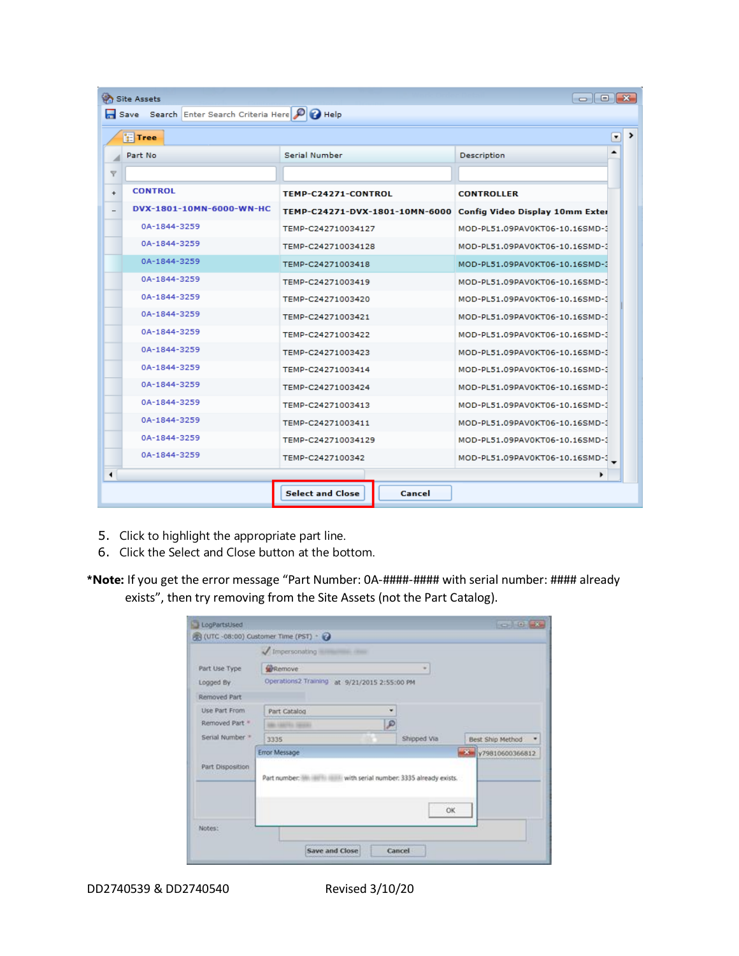| $\bullet$ $\bullet$ $\bullet$<br><b>Site Assets</b><br>Save Search Enter Search Criteria Here P P Help |                          |                                                      |                                 |  |
|--------------------------------------------------------------------------------------------------------|--------------------------|------------------------------------------------------|---------------------------------|--|
| $\rightarrow$<br><b>F</b> Tree<br>۳                                                                    |                          |                                                      |                                 |  |
| Serial Number<br>Description<br>Part No.                                                               |                          |                                                      |                                 |  |
| $\overline{\mathbf{Y}}$                                                                                |                          |                                                      |                                 |  |
| $+$                                                                                                    | <b>CONTROL</b>           | TEMP-C24271-CONTROL                                  | <b>CONTROLLER</b>               |  |
|                                                                                                        | DVX-1801-10MN-6000-WN-HC | TEMP-C24271-DVX-1801-10MN-6000                       | Config Video Display 10mm Exter |  |
|                                                                                                        | 0A-1844-3259             | TEMP-C242710034127                                   | MOD-PL51.09PAV0KT06-10.16SMD-3  |  |
|                                                                                                        | 0A-1844-3259             | TEMP-C242710034128                                   | MOD-PL51.09PAV0KT06-10.16SMD-3  |  |
|                                                                                                        | 0A-1844-3259             | TEMP-C24271003418                                    | MOD-PL51.09PAV0KT06-10.16SMD-3  |  |
|                                                                                                        | 0A-1844-3259             | TEMP-C24271003419<br>MOD-PL51.09PAV0KT06-10.16SMD-3  |                                 |  |
|                                                                                                        | 0A-1844-3259             | TEMP-C24271003420                                    | MOD-PL51.09PAV0KT06-10.16SMD-3  |  |
|                                                                                                        | 0A-1844-3259             | TEMP-C24271003421                                    | MOD-PL51.09PAV0KT06-10.16SMD-3  |  |
|                                                                                                        | 0A-1844-3259             | TEMP-C24271003422                                    | MOD-PL51.09PAV0KT06-10.16SMD-3  |  |
|                                                                                                        | 0A-1844-3259             | TEMP-C24271003423                                    | MOD-PL51.09PAV0KT06-10.16SMD-3  |  |
|                                                                                                        | 0A-1844-3259             | TEMP-C24271003414                                    | MOD-PL51.09PAV0KT06-10.16SMD-3  |  |
|                                                                                                        | 0A-1844-3259             | TEMP-C24271003424                                    | MOD-PL51.09PAV0KT06-10.16SMD-3  |  |
|                                                                                                        | 0A-1844-3259             | TEMP-C24271003413<br>MOD-PL51.09PAV0KT06-10.16SMD-3  |                                 |  |
|                                                                                                        | 0A-1844-3259             | TEMP-C24271003411<br>MOD-PL51.09PAV0KT06-10.16SMD-3  |                                 |  |
|                                                                                                        | 0A-1844-3259             | TEMP-C242710034129<br>MOD-PL51.09PAV0KT06-10.16SMD-3 |                                 |  |
|                                                                                                        | 0A-1844-3259             | TEMP-C2427100342                                     | MOD-PL51.09PAV0KT06-10.16SMD-3  |  |
|                                                                                                        |                          |                                                      |                                 |  |
|                                                                                                        |                          | <b>Select and Close</b><br>Cancel                    |                                 |  |

- 5. Click to highlight the appropriate part line.
- 6. Click the Select and Close button at the bottom.

**\*Note:** If you get the error message "Part Number: 0A-####-#### with serial number: #### already exists", then try removing from the Site Assets (not the Part Catalog).

|                            | Impersonating <b>Electronic Communist Communist Communist Communist Communist Communist Communist Communist Communist Communist Communist Communist Communist Communist Communist Communist Communist Communist Communist Commun</b> |               |             |                               |  |
|----------------------------|--------------------------------------------------------------------------------------------------------------------------------------------------------------------------------------------------------------------------------------|---------------|-------------|-------------------------------|--|
| Part Use Type              | <b>WRemove</b>                                                                                                                                                                                                                       |               |             |                               |  |
| Logged By                  | Operations2 Training at 9/21/2015 2:55:00 PM                                                                                                                                                                                         |               |             |                               |  |
| Removed Part               |                                                                                                                                                                                                                                      |               |             |                               |  |
| Use Part From              | Part Catalog                                                                                                                                                                                                                         | ٠             |             |                               |  |
| Removed Part. <sup>#</sup> | <b>LEATHER SERVICE</b>                                                                                                                                                                                                               | $\mathcal{P}$ |             |                               |  |
| Serial Number <sup>*</sup> | 3335                                                                                                                                                                                                                                 |               | Shipped Via | Best Ship Method              |  |
|                            | Error Message                                                                                                                                                                                                                        |               |             | $\frac{1}{2}$ v79810600366812 |  |
| Part Disposition           | Part number: Will William With serial number: 3335 already exists.                                                                                                                                                                   |               | OK          |                               |  |
|                            |                                                                                                                                                                                                                                      |               |             |                               |  |